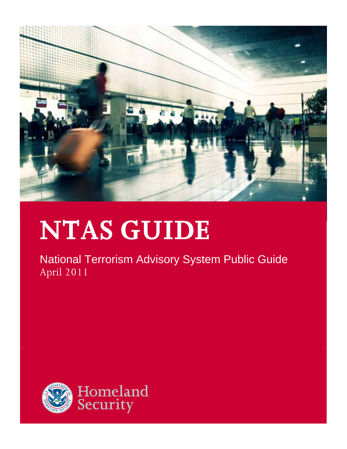

# **NTAS GUIDE**

National Terrorism Advisory System Public Guide April 2011

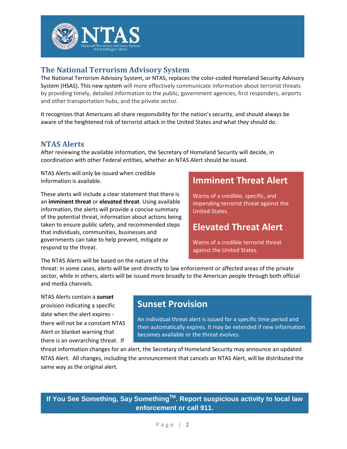

#### **The National Terrorism Advisory System**

The National Terrorism Advisory System, or NTAS, replaces the color-coded Homeland Security Advisory System (HSAS). This new system will more effectively communicate information about terrorist threats by providing timely, detailed information to the public, government agencies, first responders, airports and other transportation hubs, and the private sector.

It recognizes that Americans all share responsibility for the nation's security, and should always be aware of the heightened risk of terrorist attack in the United States and what they should do.

#### **NTAS Alerts**

After reviewing the available information, the Secretary of Homeland Security will decide, in coordination with other Federal entities, whether an NTAS Alert should be issued.

NTAS Alerts will only be issued when credible information is available.

These alerts will include a clear statement that there is an **imminent threat** or **elevated threat**. Using available information, the alerts will provide a concise summary of the potential threat, information about actions being taken to ensure public safety, and recommended steps that individuals, communities, businesses and governments can take to help prevent, mitigate or respond to the threat.

## **Imminent Threat Alert**

Warns of a credible, specific, and impending terrorist threat against the United States.

## **Elevated Threat Alert**

Warns of a credible terrorist threat against the United States.

The NTAS Alerts will be based on the nature of the

threat: in some cases, alerts will be sent directly to law enforcement or affected areas of the private sector, while in others, alerts will be issued more broadly to the American people through both official and media channels.

NTAS Alerts contain a **sunset**  provision indicating a specific date when the alert expires there will not be a constant NTAS Alert or blanket warning that there is an overarching threat. If

## **Sunset Provision**

An individual threat alert is issued for a specific time period and then automatically expires. It may be extended if new information becomes available or the threat evolves.

threat information changes for an alert, the Secretary of Homeland Security may announce an updated NTAS Alert. All changes, including the announcement that cancels an NTAS Alert, will be distributed the same way as the original alert.

**If You See Something, Say Something™. Report suspicious activity to local law enforcement or call 911.**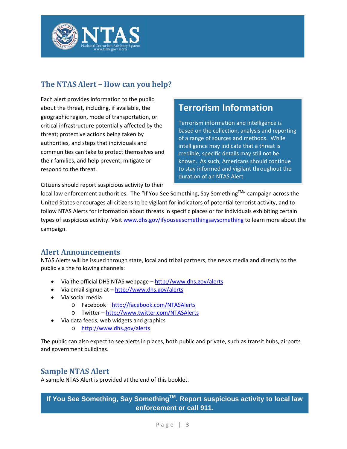

#### **The NTAS Alert – How can you help?**

Each alert provides information to the public about the threat, including, if available, the geographic region, mode of transportation, or critical infrastructure potentially affected by the threat; protective actions being taken by authorities, and steps that individuals and communities can take to protect themselves and their families, and help prevent, mitigate or respond to the threat.

## **Terrorism Information**

Terrorism information and intelligence is based on the collection, analysis and reporting of a range of sources and methods. While intelligence may indicate that a threat is credible, specific details may still not be known. As such, Americans should continue to stay informed and vigilant throughout the duration of an NTAS Alert.

Citizens should report suspicious activity to their

local law enforcement authorities. The "If You See Something, Say Something $^{TM}$ " campaign across the United States encourages all citizens to be vigilant for indicators of potential terrorist activity, and to follow NTAS Alerts for information about threats in specific places or for individuals exhibiting certain types of suspicious activity. Visit [www.dhs.gov/ifyouseesomethingsaysomething](http://www.dhs.gov/ifyouseesomethingsaysomething) to learn more about the campaign.

#### **Alert Announcements**

NTAS Alerts will be issued through state, local and tribal partners, the news media and directly to the public via the following channels:

- Via the official DHS NTAS webpage –<http://www.dhs.gov/alerts>
- Via email signup at -<http://www.dhs.gov/alerts>
- Via social media
	- o Facebook –<http://facebook.com/NTASAlerts>
	- o Twitter –<http://www.twitter.com/NTASAlerts>
- Via data feeds, web widgets and graphics
	- o <http://www.dhs.gov/alerts>

The public can also expect to see alerts in places, both public and private, such as transit hubs, airports and government buildings.

#### **Sample NTAS Alert**

A sample NTAS Alert is provided at the end of this booklet.

**If You See Something, Say Something™. Report suspicious activity to local law enforcement or call 911.**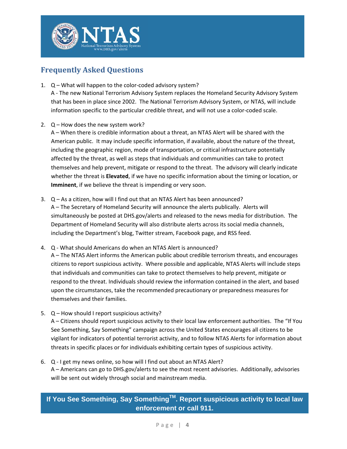

## **Frequently Asked Questions**

- 1. Q What will happen to the color‐coded advisory system? A ‐ The new National Terrorism Advisory System replaces the Homeland Security Advisory System that has been in place since 2002. The National Terrorism Advisory System, or NTAS, will include information specific to the particular credible threat, and will not use a color‐coded scale.
- 2. Q How does the new system work?

themselves and their families.

A – When there is credible information about a threat, an NTAS Alert will be shared with the American public. It may include specific information, if available, about the nature of the threat, including the geographic region, mode of transportation, or critical infrastructure potentially affected by the threat, as well as steps that individuals and communities can take to protect themselves and help prevent, mitigate or respond to the threat. The advisory will clearly indicate whether the threat is **Elevated**, if we have no specific information about the timing or location, or **Imminent**, if we believe the threat is impending or very soon.

- 3. Q As a citizen, how will I find out that an NTAS Alert has been announced? A – The Secretary of Homeland Security will announce the alerts publically. Alerts will simultaneously be posted at DHS.gov/alerts and released to the news media for distribution. The Department of Homeland Security will also distribute alerts across its social media channels, including the Department's blog, Twitter stream, Facebook page, and RSS feed.
- 4. Q ‐ What should Americans do when an NTAS Alert is announced? A – The NTAS Alert informs the American public about credible terrorism threats, and encourages citizens to report suspicious activity. Where possible and applicable, NTAS Alerts will include steps that individuals and communities can take to protect themselves to help prevent, mitigate or respond to the threat. Individuals should review the information contained in the alert, and based upon the circumstances, take the recommended precautionary or preparedness measures for
- 5. Q How should I report suspicious activity? A – Citizens should report suspicious activity to their local law enforcement authorities. The "If You See Something, Say Something" campaign across the United States encourages all citizens to be vigilant for indicators of potential terrorist activity, and to follow NTAS Alerts for information about threats in specific places or for individuals exhibiting certain types of suspicious activity.
- 6. Q ‐ I get my news online, so how will I find out about an NTAS Alert? A – Americans can go to DHS.gov/alerts to see the most recent advisories. Additionally, advisories will be sent out widely through social and mainstream media.

If You See Something, Say Something<sup>TM</sup>. Report suspicious activity to local law **enforcement or call 911.**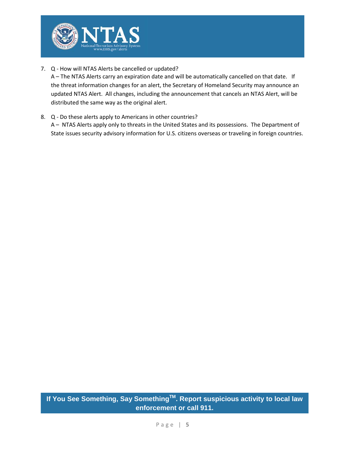

7. Q - How will NTAS Alerts be cancelled or updated?

A – The NTAS Alerts carry an expiration date and will be automatically cancelled on that date. If the threat information changes for an alert, the Secretary of Homeland Security may announce an updated NTAS Alert. All changes, including the announcement that cancels an NTAS Alert, will be distributed the same way as the original alert.

8. Q - Do these alerts apply to Americans in other countries? A – NTAS Alerts apply only to threats in the United States and its possessions. The Department of State issues security advisory information for U.S. citizens overseas or traveling in foreign countries.

**If You See Something, Say Something™. Report suspicious activity to local law enforcement or call 911.**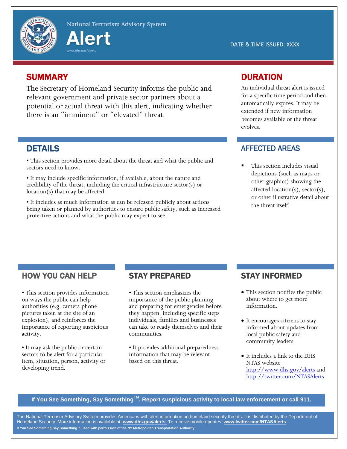

**National Terrorism Advisory System** 



## **SUMMARY**

The Secretary of Homeland Security informs the public and relevant government and private sector partners about a potential or actual threat with this alert, indicating whether there is an "imminent" or "elevated" threat.

#### DETAILS

• This section provides more detail about the threat and what the public and sectors need to know.

• It may include specific information, if available, about the nature and credibility of the threat, including the critical infrastructure sector(s) or location(s) that may be affected.

• It includes as much information as can be released publicly about actions being taken or planned by authorities to ensure public safety, such as increased protective actions and what the public may expect to see.

#### DATE & TIME ISSUED: XXXX

## **DURATION**

An individual threat alert is issued for a specific time period and then automatically expires. It may be extended if new information becomes available or the threat evolves.

#### AFFECTED AREAS

 This section includes visual depictions (such as maps or other graphics) showing the affected location(s), sector(s), or other illustrative detail about the threat itself.

#### HOW YOU CAN HELP

• This section provides information on ways the public can help authorities (e.g. camera phone pictures taken at the site of an explosion), and reinforces the importance of reporting suspicious activity.

• It may ask the public or certain sectors to be alert for a particular item, situation, person, activity or developing trend.

#### STAY PREPARED

• This section emphasizes the importance of the public planning and preparing for emergencies before they happen, including specific steps individuals, families and businesses can take to ready themselves and their communities.

• It provides additional preparedness information that may be relevant based on this threat.

#### STAY INFORMED

- This section notifies the public about where to get more information.
- It encourages citizens to stay informed about updates from local public safety and community leaders.
- It includes a link to the DHS NTAS website <http://www.dhs.gov/alerts> and <http://twitter.com/NTASAlerts>

**If You See Something, Say SomethingTM. Report suspicious activity to local law enforcement or call 911.**

The National Terrorism Advisory System provides Americans with alert information on homeland security threats. It is distributed by the Department of Homeland Security. More information is available at: **www.dhs.gov/alerts.** To receive mobile updates: **[www.twitter.com/NTASAlerts](http://www.twitter.com/NTASAlerts)  If You See Something Say Something™ used with permission of the NY Metropolitan Transportation Authority.**